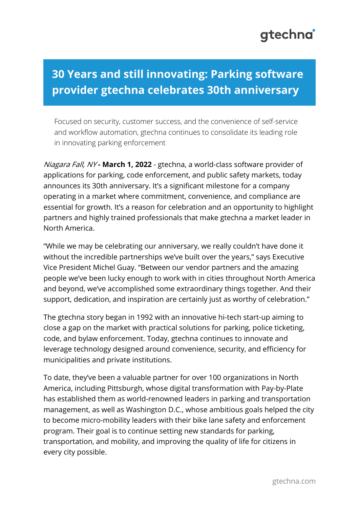## qtechna<sup>®</sup>

## **30 Years and still innovating: Parking software provider gtechna celebrates 30th anniversary**

Focused on security, customer success, and the convenience of self-service and workflow automation, gtechna continues to consolidate its leading role in innovating parking enforcement

Niagara Fall, NY **- March 1, 2022** - gtechna, a world-class software provider of applications for parking, code enforcement, and public safety markets, today announces its 30th anniversary. It's a significant milestone for a company operating in a market where commitment, convenience, and compliance are essential for growth. It's a reason for celebration and an opportunity to highlight partners and highly trained professionals that make gtechna a market leader in North America.

"While we may be celebrating our anniversary, we really couldn't have done it without the incredible partnerships we've built over the years," says Executive Vice President Michel Guay. "Between our vendor partners and the amazing people we've been lucky enough to work with in cities throughout North America and beyond, we've accomplished some extraordinary things together. And their support, dedication, and inspiration are certainly just as worthy of celebration."

The gtechna story began in 1992 with an innovative hi-tech start-up aiming to close a gap on the market with practical solutions for parking, police ticketing, code, and bylaw enforcement. Today, gtechna continues to innovate and leverage technology designed around convenience, security, and efficiency for municipalities and private institutions.

To date, they've been a valuable partner for over 100 organizations in North America, including Pittsburgh, whose digital transformation with Pay-by-Plate has established them as world-renowned leaders in parking and transportation management, as well as Washington D.C., whose ambitious goals helped the city to become micro-mobility leaders with their bike lane safety and enforcement program. Their goal is to continue setting new standards for parking, transportation, and mobility, and improving the quality of life for citizens in every city possible.